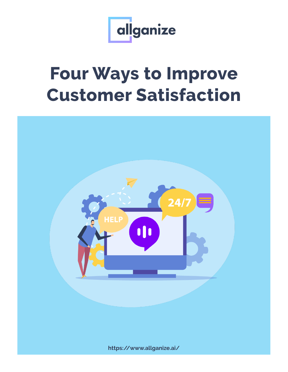

## **Four Ways to Improve Customer Satisfaction**

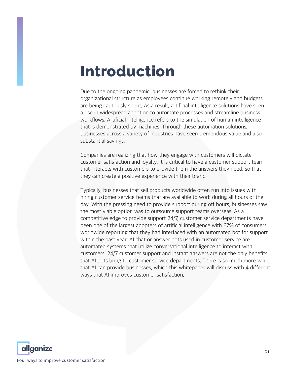## **Introduction**

Due to the ongoing pandemic, businesses are forced to rethink their organizational structure as employees continue working remotely and budgets are being cautiously spent. As a result, artificial intelligence solutions have seen a rise in widespread adoption to automate processes and streamline business workflows. Artificial intelligence refers to the simulation of human intelligence that is demonstrated by machines. Through these automation solutions, businesses across a variety of industries have seen tremendous value and also substantial savings.

Companies are realizing that how they engage with customers will dictate customer satisfaction and loyalty. It is critical to have a customer support team that interacts with customers to provide them the answers they need, so that they can create a positive experience with their brand.

Typically, businesses that sell products worldwide often run into issues with hiring customer service teams that are available to work during all hours of the day. With the pressing need to provide support during off hours, businesses saw the most viable option was to outsource support teams overseas. As a competitive edge to provide support 24/7, customer service departments have been one of the largest adopters of artificial intelligence with 67% of consumers worldwide reporting that they had interfaced with an automated bot for support within the past year. AI chat or answer bots used in customer service are automated systems that utilize conversational intelligence to interact with customers. 24/7 customer support and instant answers are not the only benefits that AI bots bring to customer service departments. There is so much more value that AI can provide businesses, which this whitepaper will discuss with 4 different ways that AI improves customer satisfaction.

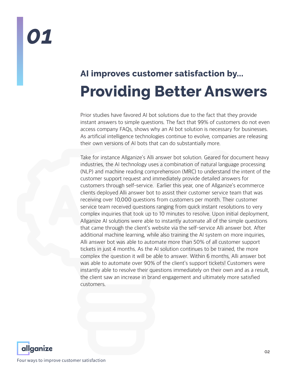## *01*

## **AI improves customer satisfaction by... Providing Better Answers**

Prior studies have favored AI bot solutions due to the fact that they provide instant answers to simple questions. The fact that 99% of customers do not even access company FAQs, shows why an AI bot solution is necessary for businesses. As artificial intelligence technologies continue to evolve, companies are releasing their own versions of AI bots that can do substantially more.

Take for instance Allganize's Alli answer bot solution. Geared for document heavy industries, the AI technology uses a combination of natural language processing (NLP) and machine reading comprehension (MRC) to understand the intent of the customer support request and immediately provide detailed answers for customers through self-service. Earlier this year, one of Allganize's ecommerce clients deployed Alli answer bot to assist their customer service team that was receiving over 10,000 questions from customers per month. Their customer service team received questions ranging from quick instant resolutions to very complex inquiries that took up to 10 minutes to resolve. Upon initial deployment, Allganize AI solutions were able to instantly automate all of the simple questions that came through the client's website via the self-service Alli answer bot. After additional machine learning, while also training the AI system on more inquiries, Alli answer bot was able to automate more than 50% of all customer support tickets in just 4 months. As the AI solution continues to be trained, the more complex the question it will be able to answer. Within 6 months, Alli answer bot was able to automate over 90% of the client's support tickets! Customers were instantly able to resolve their questions immediately on their own and as a result, the client saw an increase in brand engagement and ultimately more satisfied customers.